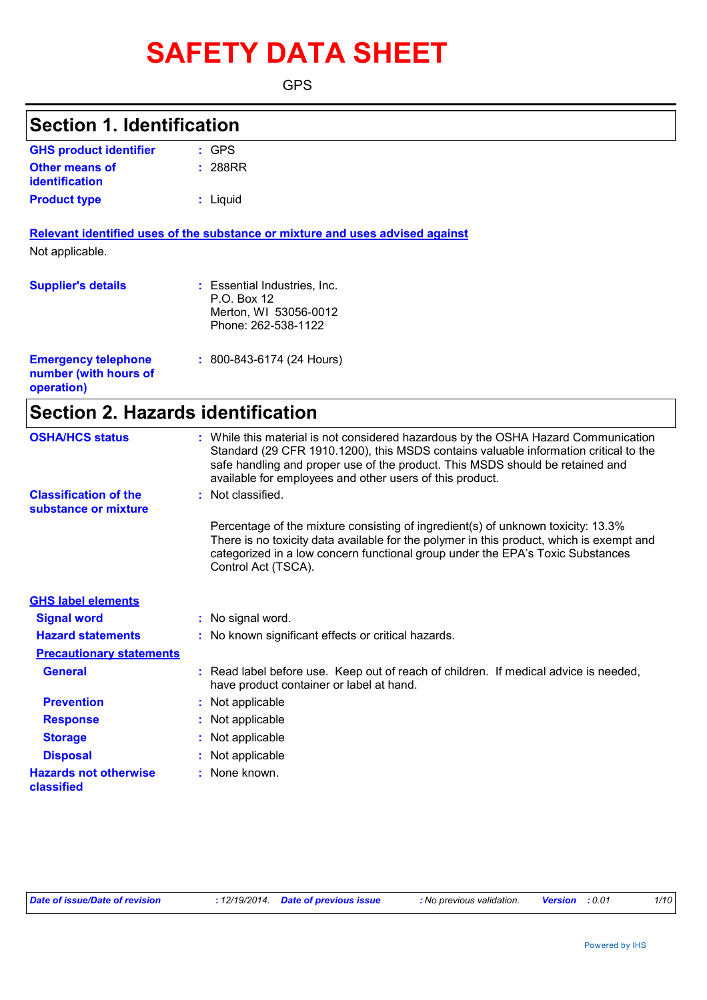# **SAFETY DATA SHEET**

GPS

### **Section 1. Identification**

| <b>GHS product identifier</b> | $\pm$ GPS |
|-------------------------------|-----------|
| <b>Other means of</b>         | : 288RR   |
| identification                |           |
| <b>Product type</b>           | : Liquid  |

**Relevant identified uses of the substance or mixture and uses advised against** Not applicable.

| <b>Supplier's details</b>                                         | : Essential Industries, Inc.<br>P.O. Box 12<br>Merton, WI 53056-0012<br>Phone: 262-538-1122 |
|-------------------------------------------------------------------|---------------------------------------------------------------------------------------------|
| <b>Emergency telephone</b><br>number (with hours of<br>operation) | $: 800 - 843 - 6174$ (24 Hours)                                                             |

# **Section 2. Hazards identification**

| <b>OSHA/HCS status</b>                               | : While this material is not considered hazardous by the OSHA Hazard Communication<br>Standard (29 CFR 1910.1200), this MSDS contains valuable information critical to the<br>safe handling and proper use of the product. This MSDS should be retained and<br>available for employees and other users of this product. |
|------------------------------------------------------|-------------------------------------------------------------------------------------------------------------------------------------------------------------------------------------------------------------------------------------------------------------------------------------------------------------------------|
| <b>Classification of the</b><br>substance or mixture | : Not classified.                                                                                                                                                                                                                                                                                                       |
|                                                      | Percentage of the mixture consisting of ingredient(s) of unknown toxicity: 13.3%<br>There is no toxicity data available for the polymer in this product, which is exempt and<br>categorized in a low concern functional group under the EPA's Toxic Substances<br>Control Act (TSCA).                                   |
| <b>GHS label elements</b>                            |                                                                                                                                                                                                                                                                                                                         |
| <b>Signal word</b>                                   | : No signal word.                                                                                                                                                                                                                                                                                                       |
| <b>Hazard statements</b>                             | : No known significant effects or critical hazards.                                                                                                                                                                                                                                                                     |
| <b>Precautionary statements</b>                      |                                                                                                                                                                                                                                                                                                                         |
| <b>General</b>                                       | : Read label before use. Keep out of reach of children. If medical advice is needed,<br>have product container or label at hand.                                                                                                                                                                                        |
| <b>Prevention</b>                                    | : Not applicable                                                                                                                                                                                                                                                                                                        |
| <b>Response</b>                                      | : Not applicable                                                                                                                                                                                                                                                                                                        |
| <b>Storage</b>                                       | : Not applicable                                                                                                                                                                                                                                                                                                        |
| <b>Disposal</b>                                      | : Not applicable                                                                                                                                                                                                                                                                                                        |
| <b>Hazards not otherwise</b><br>classified           | : None known.                                                                                                                                                                                                                                                                                                           |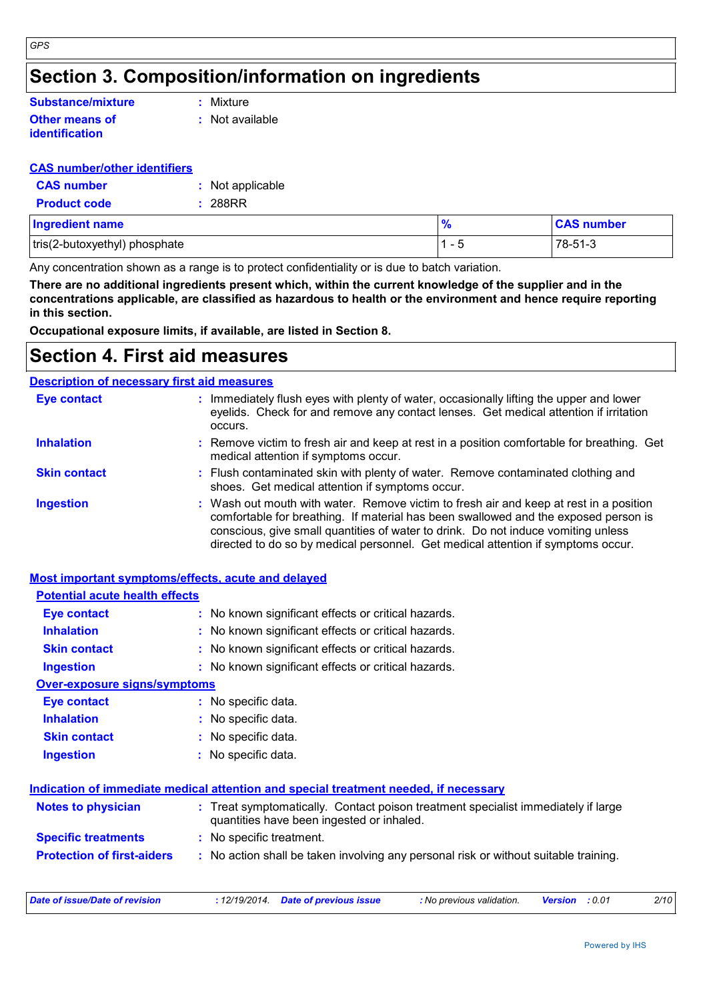## **Section 3. Composition/information on ingredients**

#### **Other means of identification Substance/mixture**

**:** Mixture

**:** Not available

#### **CAS number/other identifiers**

| <b>CAS number</b>   | : Not applicable |
|---------------------|------------------|
| <b>Product code</b> | : 288RR          |

| <b>Ingredient name</b>        |   | <b>CAS number</b> |
|-------------------------------|---|-------------------|
| tris(2-butoxyethyl) phosphate | - | ''78-51-ఎ         |

Any concentration shown as a range is to protect confidentiality or is due to batch variation.

**There are no additional ingredients present which, within the current knowledge of the supplier and in the concentrations applicable, are classified as hazardous to health or the environment and hence require reporting in this section.**

**Occupational exposure limits, if available, are listed in Section 8.**

### **Section 4. First aid measures**

#### **Description of necessary first aid measures**

| Eye contact         | : Immediately flush eyes with plenty of water, occasionally lifting the upper and lower<br>eyelids. Check for and remove any contact lenses. Get medical attention if irritation<br>occurs.                                                                                                                                                            |
|---------------------|--------------------------------------------------------------------------------------------------------------------------------------------------------------------------------------------------------------------------------------------------------------------------------------------------------------------------------------------------------|
| <b>Inhalation</b>   | : Remove victim to fresh air and keep at rest in a position comfortable for breathing. Get<br>medical attention if symptoms occur.                                                                                                                                                                                                                     |
| <b>Skin contact</b> | : Flush contaminated skin with plenty of water. Remove contaminated clothing and<br>shoes. Get medical attention if symptoms occur.                                                                                                                                                                                                                    |
| <b>Ingestion</b>    | : Wash out mouth with water. Remove victim to fresh air and keep at rest in a position<br>comfortable for breathing. If material has been swallowed and the exposed person is<br>conscious, give small quantities of water to drink. Do not induce vomiting unless<br>directed to do so by medical personnel. Get medical attention if symptoms occur. |

#### **Most important symptoms/effects, acute and delayed**

| <b>Potential acute health effects</b> |                     |                                                                                                                                |
|---------------------------------------|---------------------|--------------------------------------------------------------------------------------------------------------------------------|
| Eye contact                           |                     | : No known significant effects or critical hazards.                                                                            |
| <b>Inhalation</b>                     |                     | : No known significant effects or critical hazards.                                                                            |
| <b>Skin contact</b>                   |                     | : No known significant effects or critical hazards.                                                                            |
| <b>Ingestion</b>                      |                     | : No known significant effects or critical hazards.                                                                            |
| <b>Over-exposure signs/symptoms</b>   |                     |                                                                                                                                |
| <b>Eye contact</b>                    | : No specific data. |                                                                                                                                |
| <b>Inhalation</b>                     | : No specific data. |                                                                                                                                |
| <b>Skin contact</b>                   | : No specific data. |                                                                                                                                |
| <b>Ingestion</b>                      | : No specific data. |                                                                                                                                |
|                                       |                     | Indication of immediate medical attention and special treatment needed, if necessary                                           |
| <b>Notes to physician</b>             |                     | : Treat symptomatically. Contact poison treatment specialist immediately if large<br>quantities have been ingested or inhaled. |
| <b>Specific treatments</b>            |                     | : No specific treatment.                                                                                                       |
| <b>Protection of first-aiders</b>     |                     | : No action shall be taken involving any personal risk or without suitable training.                                           |
|                                       |                     |                                                                                                                                |

| Date of issue/Date of revision | : 12/19/2014  Date of previous issue | : No previous validation. | <b>Version</b> : 0.01 | 2/10 |
|--------------------------------|--------------------------------------|---------------------------|-----------------------|------|
|                                |                                      |                           |                       |      |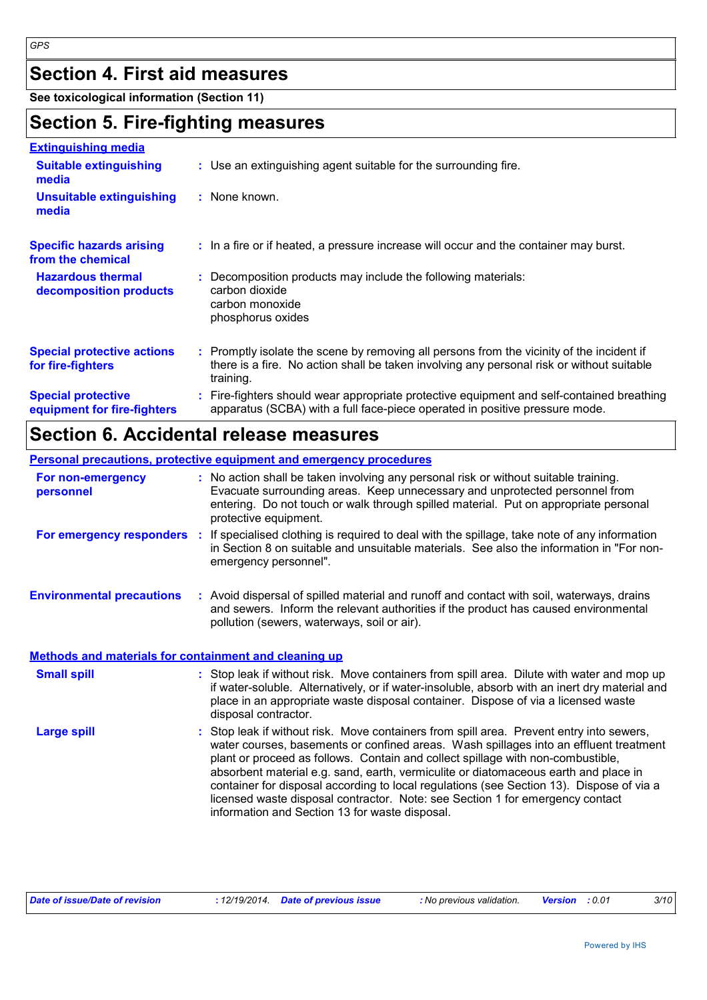# **Section 4. First aid measures**

**See toxicological information (Section 11)**

### **Section 5. Fire-fighting measures**

#### **Extinguishing media**

| елинчиюнна почк                                          |                                                                                                                                                                                                     |
|----------------------------------------------------------|-----------------------------------------------------------------------------------------------------------------------------------------------------------------------------------------------------|
| <b>Suitable extinguishing</b><br>media                   | : Use an extinguishing agent suitable for the surrounding fire.                                                                                                                                     |
| <b>Unsuitable extinguishing</b><br>media                 | : None known.                                                                                                                                                                                       |
| <b>Specific hazards arising</b><br>from the chemical     | : In a fire or if heated, a pressure increase will occur and the container may burst.                                                                                                               |
| <b>Hazardous thermal</b><br>decomposition products       | Decomposition products may include the following materials:<br>carbon dioxide<br>carbon monoxide<br>phosphorus oxides                                                                               |
| <b>Special protective actions</b><br>for fire-fighters   | : Promptly isolate the scene by removing all persons from the vicinity of the incident if<br>there is a fire. No action shall be taken involving any personal risk or without suitable<br>training. |
| <b>Special protective</b><br>equipment for fire-fighters | Fire-fighters should wear appropriate protective equipment and self-contained breathing<br>apparatus (SCBA) with a full face-piece operated in positive pressure mode.                              |

# **Section 6. Accidental release measures**

|                                                              | <b>Personal precautions, protective equipment and emergency procedures</b>                                                                                                                                                                                                                                                                                                                                                                                                                                                                                                               |
|--------------------------------------------------------------|------------------------------------------------------------------------------------------------------------------------------------------------------------------------------------------------------------------------------------------------------------------------------------------------------------------------------------------------------------------------------------------------------------------------------------------------------------------------------------------------------------------------------------------------------------------------------------------|
| For non-emergency<br>personnel                               | : No action shall be taken involving any personal risk or without suitable training.<br>Evacuate surrounding areas. Keep unnecessary and unprotected personnel from<br>entering. Do not touch or walk through spilled material. Put on appropriate personal<br>protective equipment.                                                                                                                                                                                                                                                                                                     |
| <b>For emergency responders :</b>                            | If specialised clothing is required to deal with the spillage, take note of any information<br>in Section 8 on suitable and unsuitable materials. See also the information in "For non-<br>emergency personnel".                                                                                                                                                                                                                                                                                                                                                                         |
| <b>Environmental precautions</b>                             | : Avoid dispersal of spilled material and runoff and contact with soil, waterways, drains<br>and sewers. Inform the relevant authorities if the product has caused environmental<br>pollution (sewers, waterways, soil or air).                                                                                                                                                                                                                                                                                                                                                          |
| <b>Methods and materials for containment and cleaning up</b> |                                                                                                                                                                                                                                                                                                                                                                                                                                                                                                                                                                                          |
| <b>Small spill</b>                                           | : Stop leak if without risk. Move containers from spill area. Dilute with water and mop up<br>if water-soluble. Alternatively, or if water-insoluble, absorb with an inert dry material and<br>place in an appropriate waste disposal container. Dispose of via a licensed waste<br>disposal contractor.                                                                                                                                                                                                                                                                                 |
| <b>Large spill</b>                                           | Stop leak if without risk. Move containers from spill area. Prevent entry into sewers,<br>water courses, basements or confined areas. Wash spillages into an effluent treatment<br>plant or proceed as follows. Contain and collect spillage with non-combustible,<br>absorbent material e.g. sand, earth, vermiculite or diatomaceous earth and place in<br>container for disposal according to local regulations (see Section 13). Dispose of via a<br>licensed waste disposal contractor. Note: see Section 1 for emergency contact<br>information and Section 13 for waste disposal. |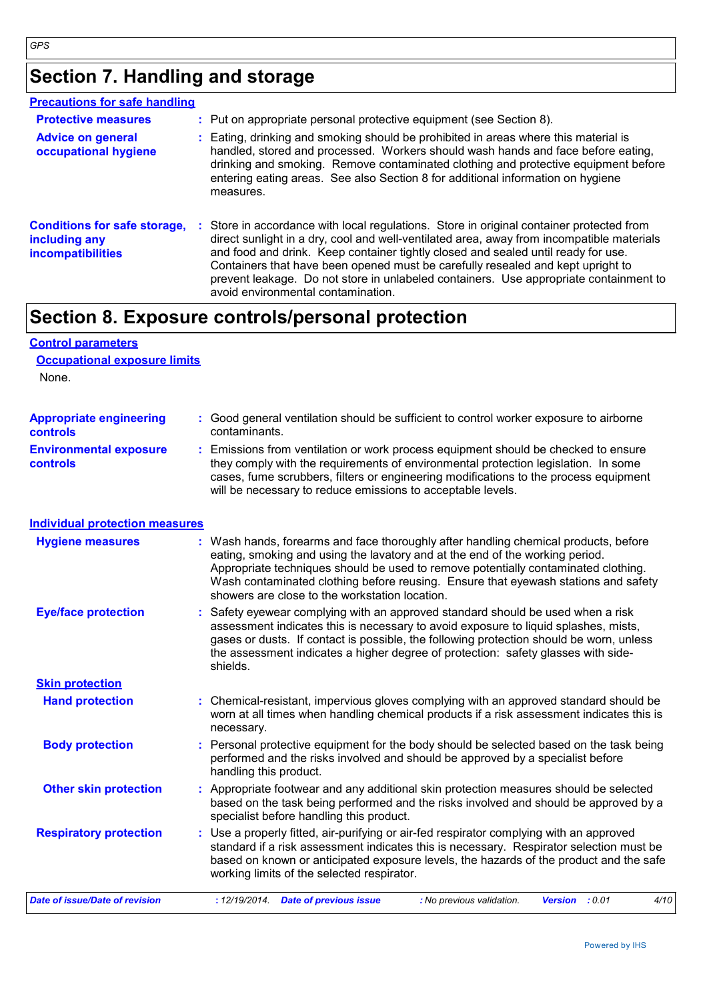# **Section 7. Handling and storage**

| <b>Precautions for safe handling</b>                                             |                                                                                                                                                                                                                                                                                                                                                                                                                                                                                              |
|----------------------------------------------------------------------------------|----------------------------------------------------------------------------------------------------------------------------------------------------------------------------------------------------------------------------------------------------------------------------------------------------------------------------------------------------------------------------------------------------------------------------------------------------------------------------------------------|
| <b>Protective measures</b>                                                       | : Put on appropriate personal protective equipment (see Section 8).                                                                                                                                                                                                                                                                                                                                                                                                                          |
| <b>Advice on general</b><br>occupational hygiene                                 | : Eating, drinking and smoking should be prohibited in areas where this material is<br>handled, stored and processed. Workers should wash hands and face before eating,<br>drinking and smoking. Remove contaminated clothing and protective equipment before<br>entering eating areas. See also Section 8 for additional information on hygiene<br>measures.                                                                                                                                |
| <b>Conditions for safe storage,</b><br>including any<br><b>incompatibilities</b> | : Store in accordance with local regulations. Store in original container protected from<br>direct sunlight in a dry, cool and well-ventilated area, away from incompatible materials<br>and food and drink. Keep container tightly closed and sealed until ready for use.<br>Containers that have been opened must be carefully resealed and kept upright to<br>prevent leakage. Do not store in unlabeled containers. Use appropriate containment to<br>avoid environmental contamination. |

## **Section 8. Exposure controls/personal protection**

### **Control parameters Occupational exposure limits**

None.

| <b>Appropriate engineering</b>                   | : Good general ventilation should be sufficient to control worker exposure to airborne                                                                                                                                                                                                                                          |
|--------------------------------------------------|---------------------------------------------------------------------------------------------------------------------------------------------------------------------------------------------------------------------------------------------------------------------------------------------------------------------------------|
| <b>controls</b>                                  | contaminants.                                                                                                                                                                                                                                                                                                                   |
| <b>Environmental exposure</b><br><b>controls</b> | : Emissions from ventilation or work process equipment should be checked to ensure<br>they comply with the requirements of environmental protection legislation. In some<br>cases, fume scrubbers, filters or engineering modifications to the process equipment<br>will be necessary to reduce emissions to acceptable levels. |

#### **Individual protection measures**

| <b>Hygiene measures</b>        | : Wash hands, forearms and face thoroughly after handling chemical products, before<br>eating, smoking and using the lavatory and at the end of the working period.<br>Appropriate techniques should be used to remove potentially contaminated clothing.<br>Wash contaminated clothing before reusing. Ensure that eyewash stations and safety<br>showers are close to the workstation location. |  |  |  |  |
|--------------------------------|---------------------------------------------------------------------------------------------------------------------------------------------------------------------------------------------------------------------------------------------------------------------------------------------------------------------------------------------------------------------------------------------------|--|--|--|--|
| <b>Eye/face protection</b>     | : Safety eyewear complying with an approved standard should be used when a risk<br>assessment indicates this is necessary to avoid exposure to liquid splashes, mists,<br>gases or dusts. If contact is possible, the following protection should be worn, unless<br>the assessment indicates a higher degree of protection: safety glasses with side-<br>shields.                                |  |  |  |  |
| <b>Skin protection</b>         |                                                                                                                                                                                                                                                                                                                                                                                                   |  |  |  |  |
| <b>Hand protection</b>         | : Chemical-resistant, impervious gloves complying with an approved standard should be<br>worn at all times when handling chemical products if a risk assessment indicates this is<br>necessary.                                                                                                                                                                                                   |  |  |  |  |
| <b>Body protection</b>         | : Personal protective equipment for the body should be selected based on the task being<br>performed and the risks involved and should be approved by a specialist before<br>handling this product.                                                                                                                                                                                               |  |  |  |  |
| <b>Other skin protection</b>   | : Appropriate footwear and any additional skin protection measures should be selected<br>based on the task being performed and the risks involved and should be approved by a<br>specialist before handling this product.                                                                                                                                                                         |  |  |  |  |
| <b>Respiratory protection</b>  | : Use a properly fitted, air-purifying or air-fed respirator complying with an approved<br>standard if a risk assessment indicates this is necessary. Respirator selection must be<br>based on known or anticipated exposure levels, the hazards of the product and the safe<br>working limits of the selected respirator.                                                                        |  |  |  |  |
| Date of issue/Date of revision | <b>Date of previous issue</b><br>4/10<br>: 12/19/2014.<br>: No previous validation.<br>Version : 0.01                                                                                                                                                                                                                                                                                             |  |  |  |  |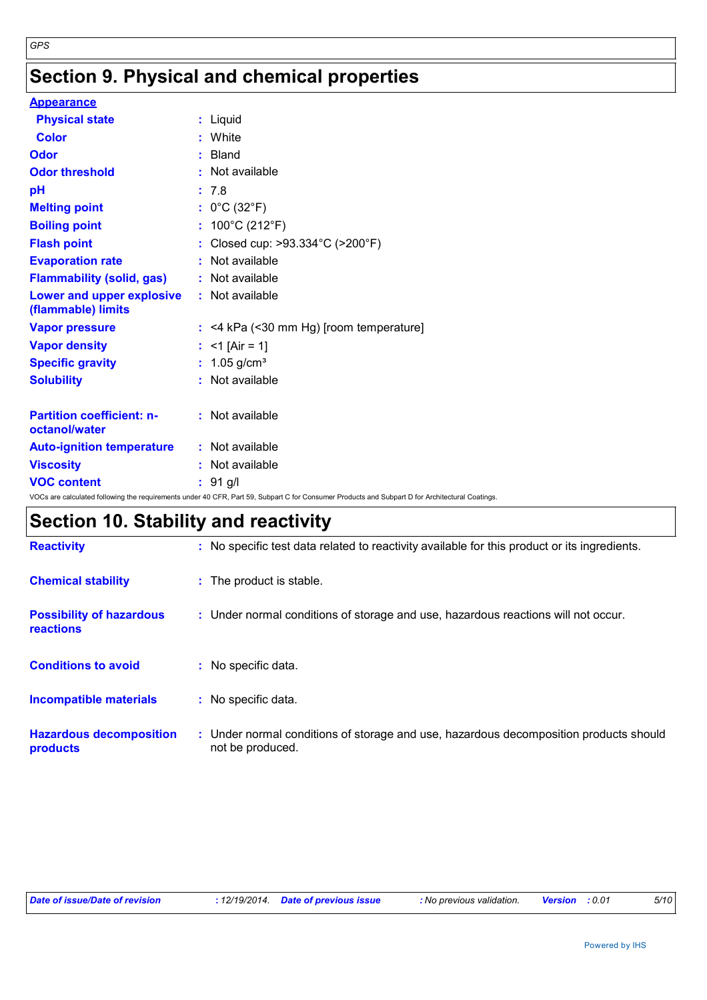# **Section 9. Physical and chemical properties**

| <b>Appearance</b>                                 |                                                                                                                                                 |
|---------------------------------------------------|-------------------------------------------------------------------------------------------------------------------------------------------------|
| <b>Physical state</b>                             | : Liquid                                                                                                                                        |
| <b>Color</b>                                      | : White                                                                                                                                         |
| Odor                                              | $:$ Bland                                                                                                                                       |
| <b>Odor threshold</b>                             | : Not available                                                                                                                                 |
| pH                                                | : 7.8                                                                                                                                           |
| <b>Melting point</b>                              | : $0^{\circ}$ C (32 $^{\circ}$ F)                                                                                                               |
| <b>Boiling point</b>                              | : $100^{\circ}$ C (212 $^{\circ}$ F)                                                                                                            |
| <b>Flash point</b>                                | : Closed cup: >93.334°C (>200°F)                                                                                                                |
| <b>Evaporation rate</b>                           | : Not available                                                                                                                                 |
| <b>Flammability (solid, gas)</b>                  | : Not available                                                                                                                                 |
| Lower and upper explosive<br>(flammable) limits   | : Not available                                                                                                                                 |
| <b>Vapor pressure</b>                             | $:$ <4 kPa (<30 mm Hg) [room temperature]                                                                                                       |
| <b>Vapor density</b>                              | : <1 [Air = 1]                                                                                                                                  |
| <b>Specific gravity</b>                           | : $1.05$ g/cm <sup>3</sup>                                                                                                                      |
| <b>Solubility</b>                                 | : Not available                                                                                                                                 |
| <b>Partition coefficient: n-</b><br>octanol/water | : Not available                                                                                                                                 |
| <b>Auto-ignition temperature</b>                  | : Not available                                                                                                                                 |
| <b>Viscosity</b>                                  | : Not available                                                                                                                                 |
| <b>VOC content</b>                                | $: 91$ g/l                                                                                                                                      |
|                                                   | VOCs are calculated following the requirements under 40 CFR, Part 59, Subpart C for Consumer Products and Subpart D for Architectural Coatings. |

# **Section 10. Stability and reactivity**

| <b>Reactivity</b>                                   | : No specific test data related to reactivity available for this product or its ingredients.              |
|-----------------------------------------------------|-----------------------------------------------------------------------------------------------------------|
| <b>Chemical stability</b>                           | : The product is stable.                                                                                  |
| <b>Possibility of hazardous</b><br><b>reactions</b> | : Under normal conditions of storage and use, hazardous reactions will not occur.                         |
| <b>Conditions to avoid</b>                          | : No specific data.                                                                                       |
| <b>Incompatible materials</b>                       | : No specific data.                                                                                       |
| <b>Hazardous decomposition</b><br>products          | : Under normal conditions of storage and use, hazardous decomposition products should<br>not be produced. |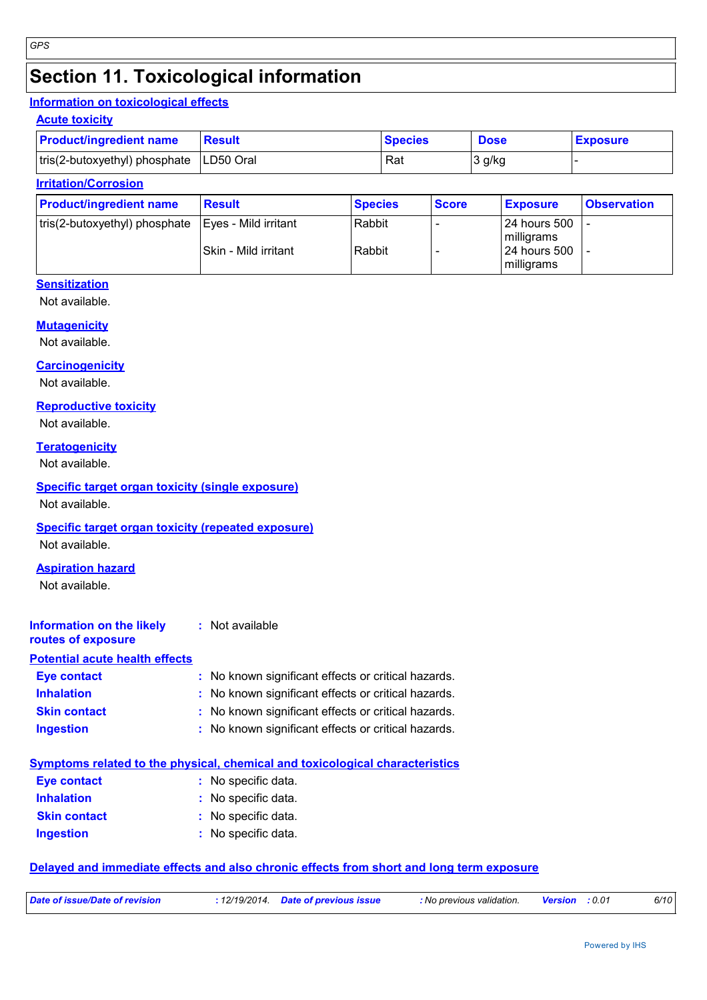# **Section 11. Toxicological information**

#### **Information on toxicological effects**

#### **Acute toxicity**

| <b>Product/ingredient name</b>            | Result | <b>Species</b> | <b>Dose</b> | <b>Exposure</b> |
|-------------------------------------------|--------|----------------|-------------|-----------------|
| tris(2-butoxyethyl) phosphate   LD50 Oral |        | Rat            | 3 g/kg      |                 |

#### **Irritation/Corrosion**

| <b>Product/ingredient name</b>                       | <b>Result</b>        | <b>Species</b> | <b>Score</b> | <b>Exposure</b>     | <b>Observation</b> |
|------------------------------------------------------|----------------------|----------------|--------------|---------------------|--------------------|
| tris(2-butoxyethyl) phosphate   Eyes - Mild irritant |                      | Rabbit         |              | <b>24 hours 500</b> |                    |
|                                                      |                      |                |              | milligrams          |                    |
|                                                      | Skin - Mild irritant | Rabbit         |              | <b>24 hours 500</b> |                    |
|                                                      |                      |                |              | milligrams          |                    |

#### **Sensitization**

Not available.

#### **Mutagenicity**

Not available.

#### **Carcinogenicity**

Not available.

#### **Reproductive toxicity**

Not available.

#### **Teratogenicity**

Not available.

#### **Specific target organ toxicity (single exposure)**

Not available.

#### **Specific target organ toxicity (repeated exposure)**

Not available.

#### **Aspiration hazard**

Not available.

#### **Information on the likely routes of exposure :** Not available

#### **Potential acute health effects**

| <b>Eye contact</b>  | : No known significant effects or critical hazards. |
|---------------------|-----------------------------------------------------|
| <b>Inhalation</b>   | : No known significant effects or critical hazards. |
| <b>Skin contact</b> | : No known significant effects or critical hazards. |
| <b>Ingestion</b>    | : No known significant effects or critical hazards. |

#### **Symptoms related to the physical, chemical and toxicological characteristics**

| <b>Eye contact</b>  | : No specific data. |
|---------------------|---------------------|
| <b>Inhalation</b>   | : No specific data. |
| <b>Skin contact</b> | : No specific data. |
| Ingestion           | : No specific data. |

#### **Delayed and immediate effects and also chronic effects from short and long term exposure**

| Date of issue/Date of revision | : 12/19/2014  Date of previous issue | : No previous validation. | <b>Version</b> : 0.01 | 6/10 |
|--------------------------------|--------------------------------------|---------------------------|-----------------------|------|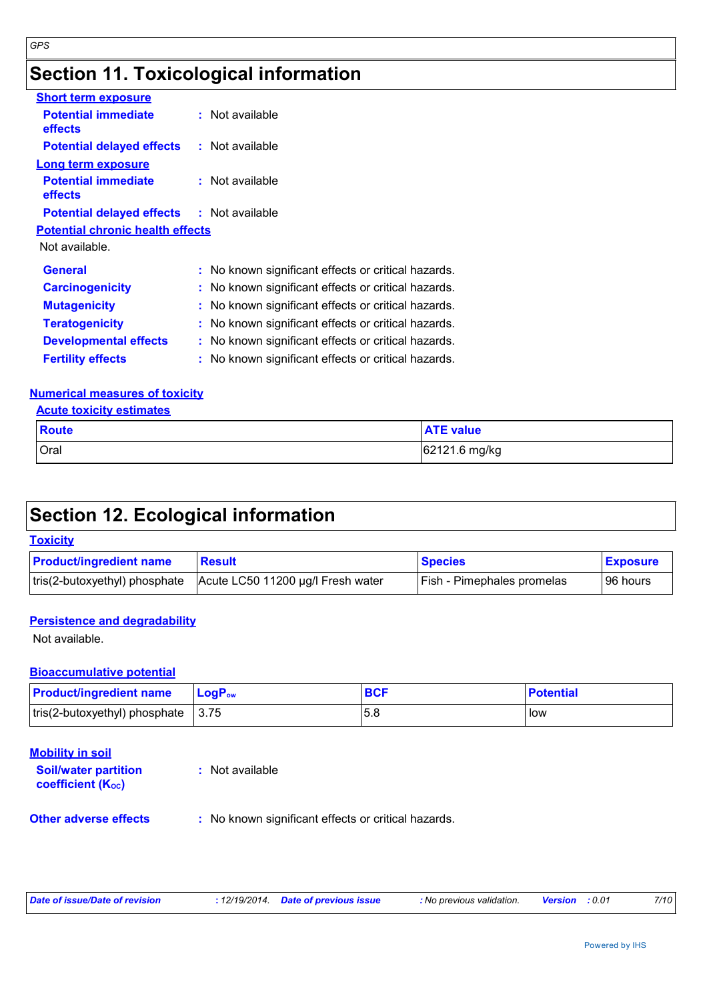# **Section 11. Toxicological information**

| <b>Short term exposure</b>                       |                                                     |
|--------------------------------------------------|-----------------------------------------------------|
| <b>Potential immediate</b><br><b>effects</b>     | $:$ Not available                                   |
| <b>Potential delayed effects</b>                 | : Not available                                     |
| Long term exposure                               |                                                     |
| <b>Potential immediate</b><br>effects            | $:$ Not available                                   |
| <b>Potential delayed effects : Not available</b> |                                                     |
| <b>Potential chronic health effects</b>          |                                                     |
| Not available.                                   |                                                     |
| <b>General</b>                                   | : No known significant effects or critical hazards. |
| <b>Carcinogenicity</b>                           | : No known significant effects or critical hazards. |
| <b>Mutagenicity</b>                              | : No known significant effects or critical hazards. |
| <b>Teratogenicity</b>                            | : No known significant effects or critical hazards. |
| <b>Developmental effects</b>                     | : No known significant effects or critical hazards. |
| <b>Fertility effects</b>                         | : No known significant effects or critical hazards. |

#### **Numerical measures of toxicity**

**Acute toxicity estimates**

*GPS*

| <b>Route</b> | <b>ATE value</b> |
|--------------|------------------|
| Oral         | 62121.6 mg/kg    |

## **Section 12. Ecological information**

| <b>Toxicity</b>                |                                   |                                   |                 |
|--------------------------------|-----------------------------------|-----------------------------------|-----------------|
| <b>Product/ingredient name</b> | <b>Result</b>                     | <b>Species</b>                    | <b>Exposure</b> |
| tris(2-butoxyethyl) phosphate  | Acute LC50 11200 µg/l Fresh water | <b>Fish - Pimephales promelas</b> | 96 hours        |

#### **Persistence and degradability**

Not available.

#### **Bioaccumulative potential**

| <b>Product/ingredient name</b>                     | ∣ LoqP <sub>ow</sub> | <b>BCI</b> | <b>Potential</b> |
|----------------------------------------------------|----------------------|------------|------------------|
| $\vert$ tris(2-butoxyethyl) phosphate $\vert$ 3.75 |                      | 5.8        | low              |

#### **Mobility in soil**

**Soil/water partition coefficient (KOC) :** Not available

**Other adverse effects** : No known significant effects or critical hazards.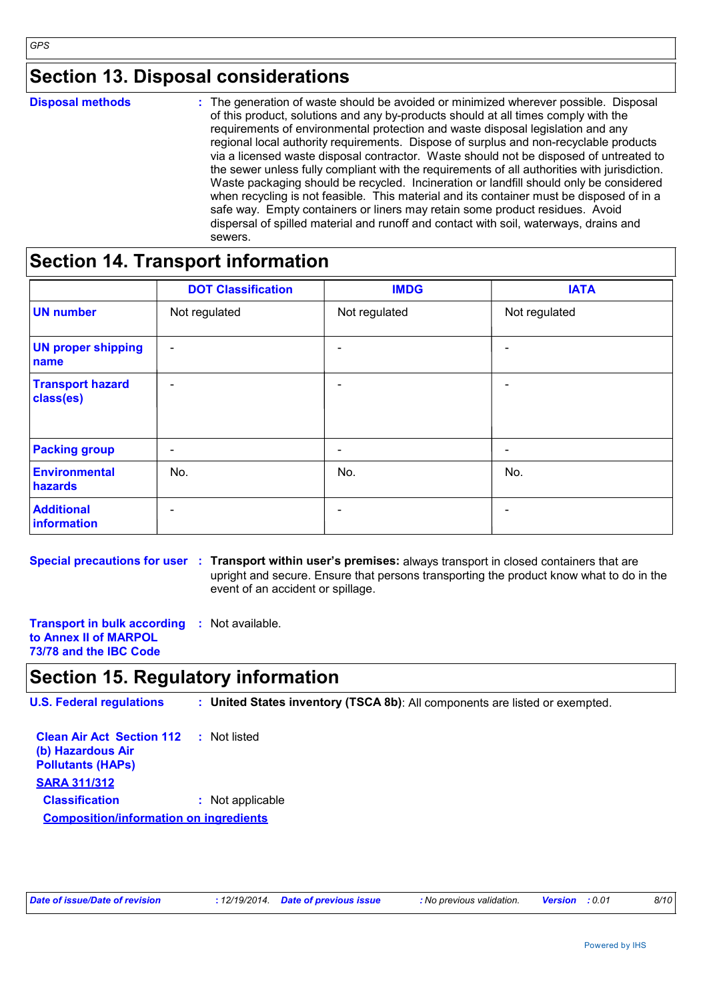### **Section 13. Disposal considerations**

|  | <b>Disposal methods</b> |
|--|-------------------------|
|  |                         |

**Disposal methods** : The generation of waste should be avoided or minimized wherever possible. Disposal of this product, solutions and any by-products should at all times comply with the requirements of environmental protection and waste disposal legislation and any regional local authority requirements. Dispose of surplus and non-recyclable products via a licensed waste disposal contractor. Waste should not be disposed of untreated to the sewer unless fully compliant with the requirements of all authorities with jurisdiction. Waste packaging should be recycled. Incineration or landfill should only be considered when recycling is not feasible. This material and its container must be disposed of in a safe way. Empty containers or liners may retain some product residues. Avoid dispersal of spilled material and runoff and contact with soil, waterways, drains and sewers.

### **Section 14. Transport information**

|                                      | <b>DOT Classification</b> | <b>IMDG</b>              | <b>IATA</b>              |
|--------------------------------------|---------------------------|--------------------------|--------------------------|
| <b>UN number</b>                     | Not regulated             | Not regulated            | Not regulated            |
| <b>UN proper shipping</b><br>name    | $\overline{\phantom{a}}$  | $\overline{\phantom{0}}$ |                          |
| <b>Transport hazard</b><br>class(es) | $\overline{\phantom{a}}$  | $\overline{\phantom{0}}$ |                          |
| <b>Packing group</b>                 | $\overline{\phantom{a}}$  | $\overline{\phantom{0}}$ | $\overline{\phantom{a}}$ |
| Environmental<br>hazards             | No.                       | No.                      | No.                      |
| <b>Additional</b><br>information     | $\overline{\phantom{0}}$  |                          |                          |

**Special precautions for user : Transport within user's premises: always transport in closed containers that are** upright and secure. Ensure that persons transporting the product know what to do in the event of an accident or spillage.

**Transport in bulk according :** Not available. **to Annex II of MARPOL 73/78 and the IBC Code**

### **Section 15. Regulatory information**

**U.S. Federal regulations : United States inventory (TSCA 8b)**: All components are listed or exempted.

**Clean Air Act Section 112 (b) Hazardous Air Pollutants (HAPs) :** Not listed **SARA 311/312 Classification :** Not applicable **Composition/information on ingredients**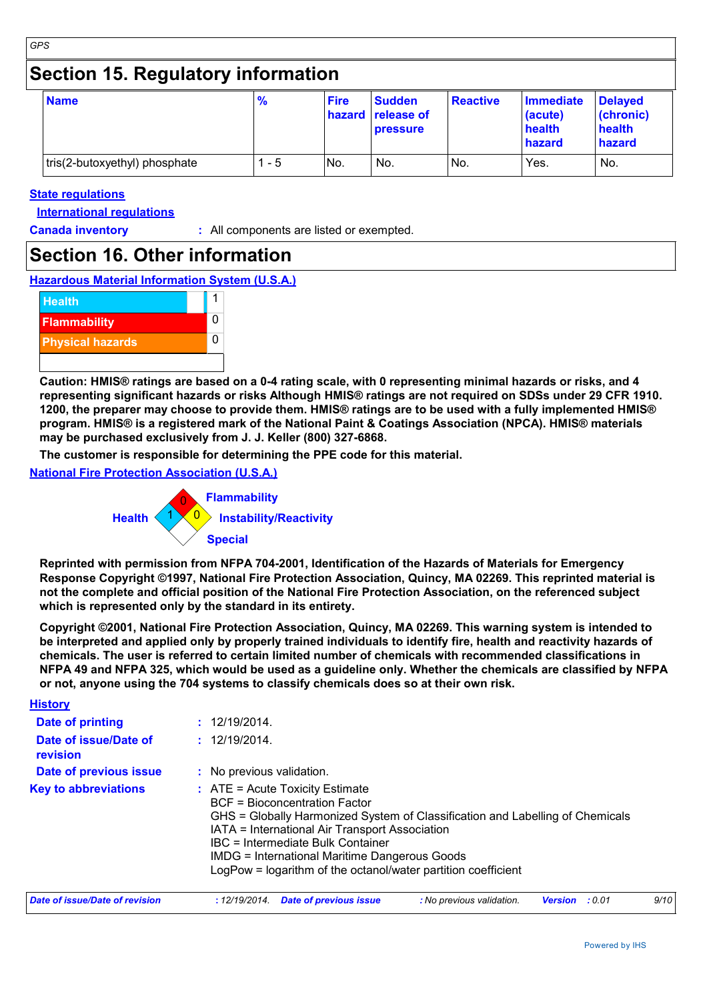## **Section 15. Regulatory information**

| <b>Name</b>                   | $\frac{9}{6}$ | <b>Fire</b> | <b>Sudden</b><br>hazard release of<br>pressure | <b>Reactive</b> | Immediate<br>(acute)<br>health<br>hazard | <b>Delayed</b><br>(chronic)<br>health<br>hazard |
|-------------------------------|---------------|-------------|------------------------------------------------|-----------------|------------------------------------------|-------------------------------------------------|
| tris(2-butoxyethyl) phosphate | $1 - 5$       | No.         | No.                                            | No.             | Yes.                                     | No.                                             |

#### **State regulations**

**International regulations**

**History**

**Canada inventory :** All components are listed or exempted.

### **Section 16. Other information**

**Hazardous Material Information System (U.S.A.)**



**Caution: HMIS® ratings are based on a 0-4 rating scale, with 0 representing minimal hazards or risks, and 4 representing significant hazards or risks Although HMIS® ratings are not required on SDSs under 29 CFR 1910. 1200, the preparer may choose to provide them. HMIS® ratings are to be used with a fully implemented HMIS® program. HMIS® is a registered mark of the National Paint & Coatings Association (NPCA). HMIS® materials may be purchased exclusively from J. J. Keller (800) 327-6868.**

**The customer is responsible for determining the PPE code for this material.**

**National Fire Protection Association (U.S.A.)**



**Reprinted with permission from NFPA 704-2001, Identification of the Hazards of Materials for Emergency Response Copyright ©1997, National Fire Protection Association, Quincy, MA 02269. This reprinted material is not the complete and official position of the National Fire Protection Association, on the referenced subject which is represented only by the standard in its entirety.**

**Copyright ©2001, National Fire Protection Association, Quincy, MA 02269. This warning system is intended to be interpreted and applied only by properly trained individuals to identify fire, health and reactivity hazards of chemicals. The user is referred to certain limited number of chemicals with recommended classifications in NFPA 49 and NFPA 325, which would be used as a guideline only. Whether the chemicals are classified by NFPA or not, anyone using the 704 systems to classify chemicals does so at their own risk.**

| <b>HISLOTY</b>                    |                                                                                                                                                                                                                                                                                                                                                                     |
|-----------------------------------|---------------------------------------------------------------------------------------------------------------------------------------------------------------------------------------------------------------------------------------------------------------------------------------------------------------------------------------------------------------------|
| Date of printing                  | : 12/19/2014.                                                                                                                                                                                                                                                                                                                                                       |
| Date of issue/Date of<br>revision | : 12/19/2014.                                                                                                                                                                                                                                                                                                                                                       |
| <b>Date of previous issue</b>     | : No previous validation.                                                                                                                                                                                                                                                                                                                                           |
| <b>Key to abbreviations</b>       | $:$ ATE = Acute Toxicity Estimate<br>BCF = Bioconcentration Factor<br>GHS = Globally Harmonized System of Classification and Labelling of Chemicals<br>IATA = International Air Transport Association<br>IBC = Intermediate Bulk Container<br><b>IMDG = International Maritime Dangerous Goods</b><br>LogPow = logarithm of the octanol/water partition coefficient |
| Date of issue/Date of revision    | 9/10<br><b>Date of previous issue</b><br>: No previous validation.<br>:12/19/2014.<br><b>Version</b> : 0.01                                                                                                                                                                                                                                                         |

| sue/Date of revision | : 12/19/2014. Date of previous issue | : iyo previous validation. | version | . U.U | 9/10 |  |
|----------------------|--------------------------------------|----------------------------|---------|-------|------|--|
|                      |                                      |                            |         |       |      |  |

*GPS*